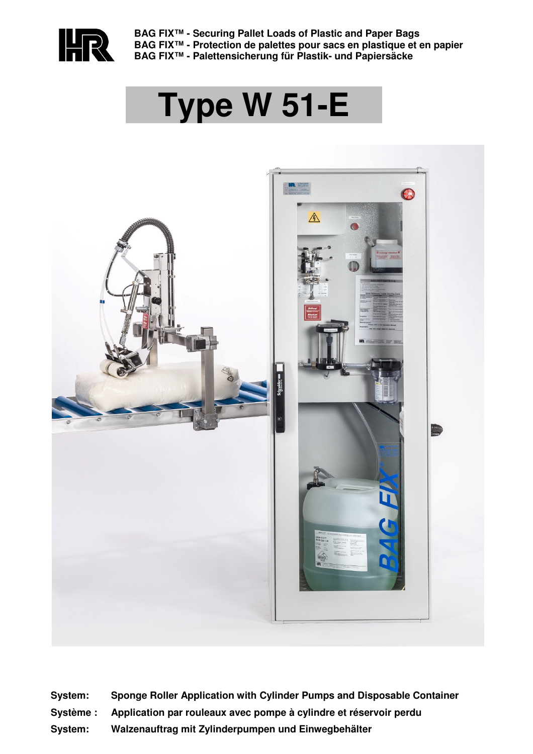

**BAG FIX™ - Securing Pallet Loads of Plastic and Paper Bags BAG FIX™ - Protection de palettes pour sacs en plastique et en papier BAG FIX™ - Palettensicherung für Plastik- und Papiersäcke**

# **Type W 51-E**



- **System: Sponge Roller Application with Cylinder Pumps and Disposable Container**
- **Système : Application par rouleaux avec pompe à cylindre et réservoir perdu**
- **System: Walzenauftrag mit Zylinderpumpen und Einwegbehälter**